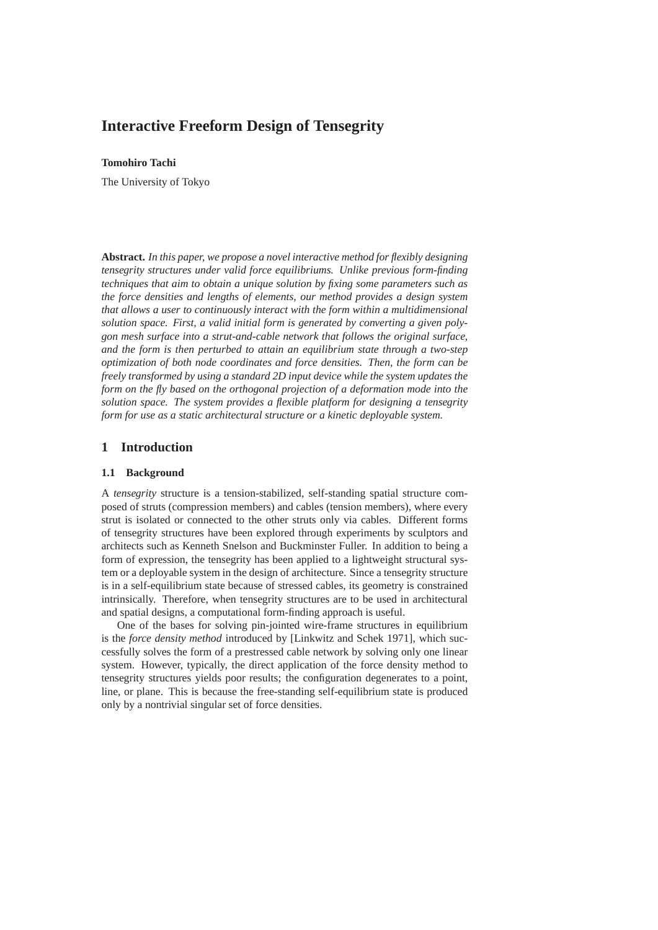# **Interactive Freeform Design of Tensegrity**

### **Tomohiro Tachi**

The University of Tokyo

**Abstract.** *In this paper, we propose a novel interactive method for flexibly designing tensegrity structures under valid force equilibriums. Unlike previous form-finding techniques that aim to obtain a unique solution by fixing some parameters such as the force densities and lengths of elements, our method provides a design system that allows a user to continuously interact with the form within a multidimensional solution space. First, a valid initial form is generated by converting a given polygon mesh surface into a strut-and-cable network that follows the original surface, and the form is then perturbed to attain an equilibrium state through a two-step optimization of both node coordinates and force densities. Then, the form can be freely transformed by using a standard 2D input device while the system updates the form on the fly based on the orthogonal projection of a deformation mode into the solution space. The system provides a flexible platform for designing a tensegrity form for use as a static architectural structure or a kinetic deployable system.*

## **1 Introduction**

#### **1.1 Background**

A *tensegrity* structure is a tension-stabilized, self-standing spatial structure composed of struts (compression members) and cables (tension members), where every strut is isolated or connected to the other struts only via cables. Different forms of tensegrity structures have been explored through experiments by sculptors and architects such as Kenneth Snelson and Buckminster Fuller. In addition to being a form of expression, the tensegrity has been applied to a lightweight structural system or a deployable system in the design of architecture. Since a tensegrity structure is in a self-equilibrium state because of stressed cables, its geometry is constrained intrinsically. Therefore, when tensegrity structures are to be used in architectural and spatial designs, a computational form-finding approach is useful.

One of the bases for solving pin-jointed wire-frame structures in equilibrium is the *force density method* introduced by [Linkwitz and Schek 1971], which successfully solves the form of a prestressed cable network by solving only one linear system. However, typically, the direct application of the force density method to tensegrity structures yields poor results; the configuration degenerates to a point, line, or plane. This is because the free-standing self-equilibrium state is produced only by a nontrivial singular set of force densities.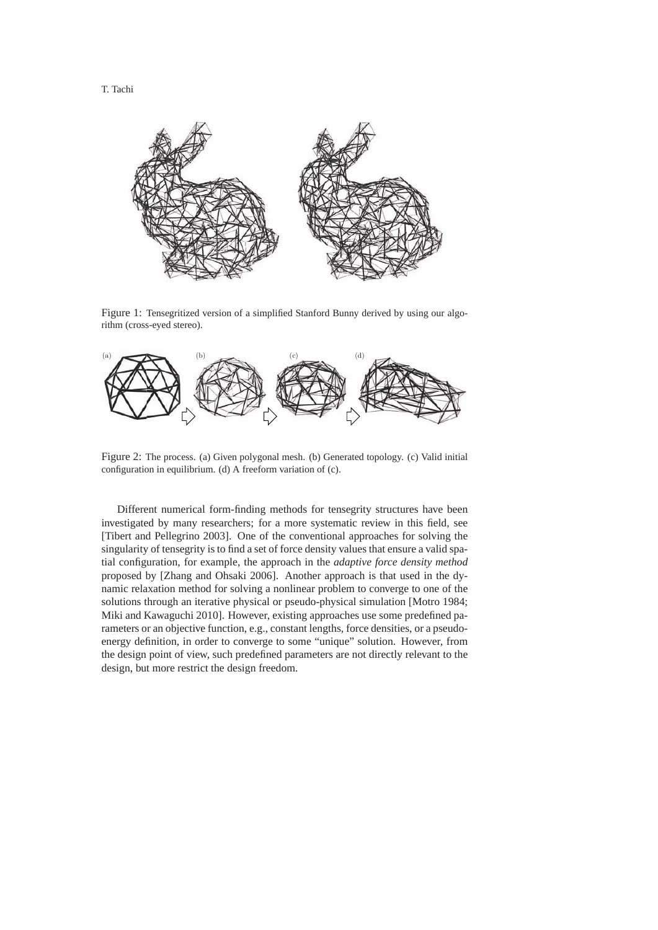

Figure 1: Tensegritized version of a simplified Stanford Bunny derived by using our algorithm (cross-eyed stereo).



Figure 2: The process. (a) Given polygonal mesh. (b) Generated topology. (c) Valid initial configuration in equilibrium. (d) A freeform variation of (c).

Different numerical form-finding methods for tensegrity structures have been investigated by many researchers; for a more systematic review in this field, see [Tibert and Pellegrino 2003]. One of the conventional approaches for solving the singularity of tensegrity is to find a set of force density values that ensure a valid spatial configuration, for example, the approach in the *adaptive force density method* proposed by [Zhang and Ohsaki 2006]. Another approach is that used in the dynamic relaxation method for solving a nonlinear problem to converge to one of the solutions through an iterative physical or pseudo-physical simulation [Motro 1984; Miki and Kawaguchi 2010]. However, existing approaches use some predefined parameters or an objective function, e.g., constant lengths, force densities, or a pseudoenergy definition, in order to converge to some "unique" solution. However, from the design point of view, such predefined parameters are not directly relevant to the design, but more restrict the design freedom.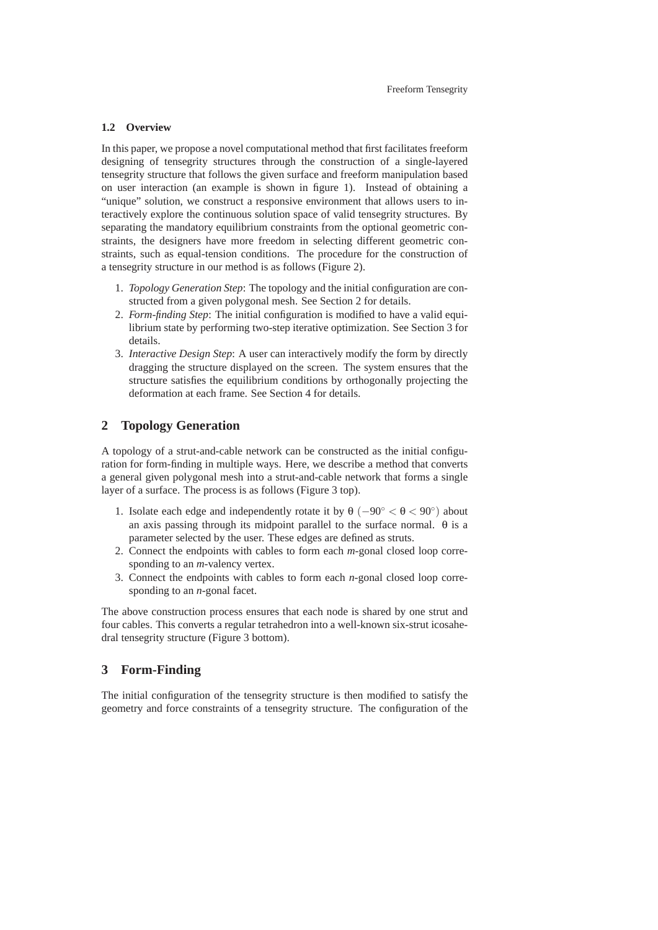#### **1.2 Overview**

In this paper, we propose a novel computational method that first facilitates freeform designing of tensegrity structures through the construction of a single-layered tensegrity structure that follows the given surface and freeform manipulation based on user interaction (an example is shown in figure 1). Instead of obtaining a "unique" solution, we construct a responsive environment that allows users to interactively explore the continuous solution space of valid tensegrity structures. By separating the mandatory equilibrium constraints from the optional geometric constraints, the designers have more freedom in selecting different geometric constraints, such as equal-tension conditions. The procedure for the construction of a tensegrity structure in our method is as follows (Figure 2).

- 1. *Topology Generation Step*: The topology and the initial configuration are constructed from a given polygonal mesh. See Section 2 for details.
- 2. *Form-finding Step*: The initial configuration is modified to have a valid equilibrium state by performing two-step iterative optimization. See Section 3 for details.
- 3. *Interactive Design Step*: A user can interactively modify the form by directly dragging the structure displayed on the screen. The system ensures that the structure satisfies the equilibrium conditions by orthogonally projecting the deformation at each frame. See Section 4 for details.

## **2 Topology Generation**

A topology of a strut-and-cable network can be constructed as the initial configuration for form-finding in multiple ways. Here, we describe a method that converts a general given polygonal mesh into a strut-and-cable network that forms a single layer of a surface. The process is as follows (Figure 3 top).

- 1. Isolate each edge and independently rotate it by  $\theta$  ( $-90^{\circ} < \theta < 90^{\circ}$ ) about an axis passing through its midpoint parallel to the surface normal.  $\theta$  is a parameter selected by the user. These edges are defined as struts.
- 2. Connect the endpoints with cables to form each *m*-gonal closed loop corresponding to an *m*-valency vertex.
- 3. Connect the endpoints with cables to form each *n*-gonal closed loop corresponding to an *n*-gonal facet.

The above construction process ensures that each node is shared by one strut and four cables. This converts a regular tetrahedron into a well-known six-strut icosahedral tensegrity structure (Figure 3 bottom).

## **3 Form-Finding**

The initial configuration of the tensegrity structure is then modified to satisfy the geometry and force constraints of a tensegrity structure. The configuration of the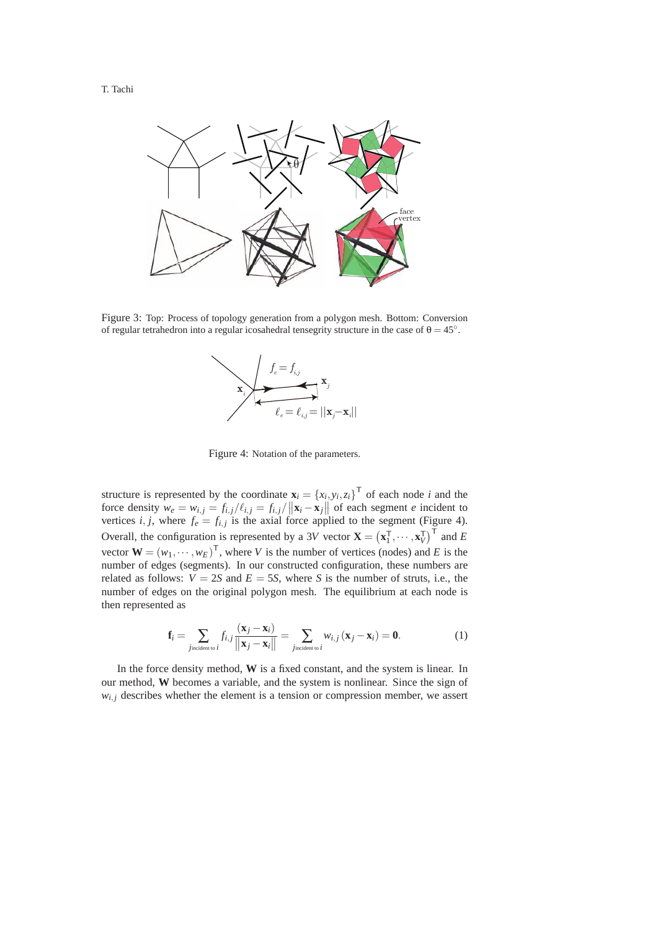

Figure 3: Top: Process of topology generation from a polygon mesh. Bottom: Conversion of regular tetrahedron into a regular icosahedral tensegrity structure in the case of  $\theta = 45°$ .



Figure 4: Notation of the parameters.

structure is represented by the coordinate  $\mathbf{x}_i = \{x_i, y_i, z_i\}^\top$  of each node *i* and the force density  $w_e = w_{i,j} = f_{i,j}/\ell_{i,j} = f_{i,j}/\left\|\mathbf{x}_i - \mathbf{x}_j\right\|$  of each segment *e* incident to vertices *i*, *j*, where  $f_e = f_{i,j}$  is the axial force applied to the segment (Figure 4). Overall, the configuration is represented by a 3*V* vector  $\mathbf{X} = (\mathbf{x}_1^T, \dots, \mathbf{x}_V^T)^T$  and *E* vector  $\mathbf{W} = (w_1, \dots, w_E)^\mathsf{T}$ , where *V* is the number of vertices (nodes) and *E* is the number of edges (segments). In our constructed configuration, these numbers are related as follows:  $V = 2S$  and  $E = 5S$ , where *S* is the number of struts, i.e., the number of edges on the original polygon mesh. The equilibrium at each node is then represented as

$$
\mathbf{f}_i = \sum_{j_{\text{incident to }i}} f_{i,j} \frac{(\mathbf{x}_j - \mathbf{x}_i)}{\|\mathbf{x}_j - \mathbf{x}_i\|} = \sum_{j_{\text{incident to }i}} w_{i,j} (\mathbf{x}_j - \mathbf{x}_i) = \mathbf{0}.
$$
 (1)

In the force density method, **W** is a fixed constant, and the system is linear. In our method, **W** becomes a variable, and the system is nonlinear. Since the sign of  $w_{i,j}$  describes whether the element is a tension or compression member, we assert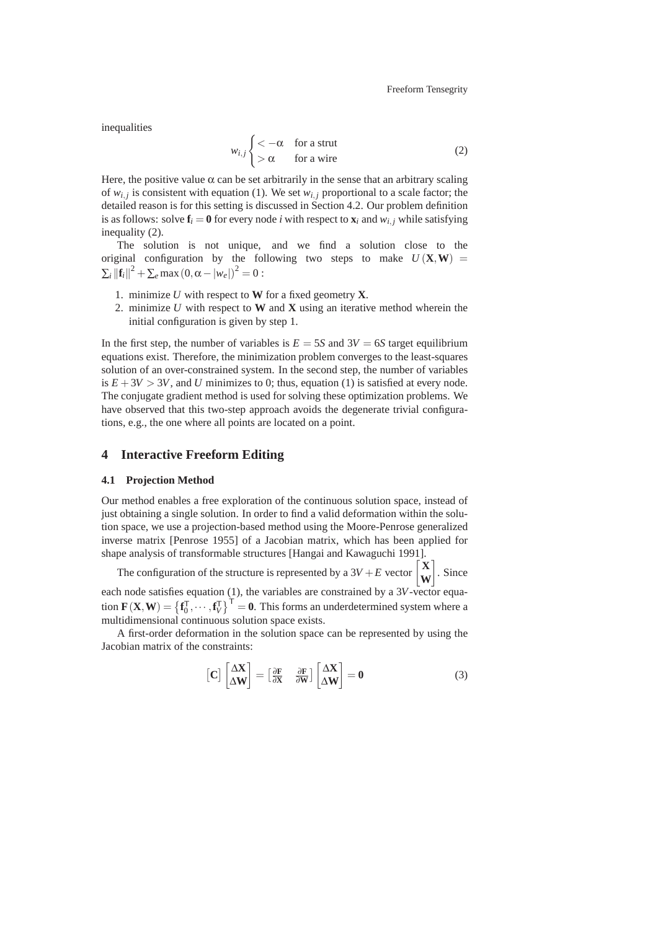inequalities

$$
w_{i,j} \begin{cases} < -\alpha & \text{for a strut} \\ > \alpha & \text{for a wire} \end{cases}
$$
 (2)

Here, the positive value  $\alpha$  can be set arbitrarily in the sense that an arbitrary scaling of  $w_{i,j}$  is consistent with equation (1). We set  $w_{i,j}$  proportional to a scale factor; the detailed reason is for this setting is discussed in Section 4.2. Our problem definition is as follows: solve  $f_i = 0$  for every node *i* with respect to  $\mathbf{x}_i$  and  $w_{i,j}$  while satisfying inequality (2).

The solution is not unique, and we find a solution close to the original configuration by the following two steps to make  $U(\mathbf{X}, \mathbf{W}) =$  $\sum_{i} ||{\bf f}_i||^2 + \sum_{e} \max(0, \alpha - |w_e|)^2 = 0$ :

- 1. minimize *U* with respect to **W** for a fixed geometry **X**.
- 2. minimize *U* with respect to **W** and **X** using an iterative method wherein the initial configuration is given by step 1.

In the first step, the number of variables is  $E = 5S$  and  $3V = 6S$  target equilibrium equations exist. Therefore, the minimization problem converges to the least-squares solution of an over-constrained system. In the second step, the number of variables is  $E + 3V > 3V$ , and *U* minimizes to 0; thus, equation (1) is satisfied at every node. The conjugate gradient method is used for solving these optimization problems. We have observed that this two-step approach avoids the degenerate trivial configurations, e.g., the one where all points are located on a point.

### **4 Interactive Freeform Editing**

#### **4.1 Projection Method**

Our method enables a free exploration of the continuous solution space, instead of just obtaining a single solution. In order to find a valid deformation within the solution space, we use a projection-based method using the Moore-Penrose generalized inverse matrix [Penrose 1955] of a Jacobian matrix, which has been applied for shape analysis of transformable structures [Hangai and Kawaguchi 1991].

The configuration of the structure is represented by a  $3V + E$  vector  $\begin{bmatrix} \mathbf{X} \\ \mathbf{X} \end{bmatrix}$ **W**  $\big]$ . Since each node satisfies equation (1), the variables are constrained by a 3V-vector equation  $\mathbf{F}(\mathbf{X}, \mathbf{W}) = \left\{ \mathbf{f}_0^{\mathsf{T}}, \cdots, \mathbf{f}_V^{\mathsf{T}} \right\}^{\mathsf{T}} = \mathbf{0}$ . This forms an underdetermined system where a multidimensional continuous solution space exists.

A first-order deformation in the solution space can be represented by using the Jacobian matrix of the constraints:

$$
\begin{bmatrix} \mathbf{C} \end{bmatrix} \begin{bmatrix} \Delta \mathbf{X} \\ \Delta \mathbf{W} \end{bmatrix} = \begin{bmatrix} \frac{\partial \mathbf{F}}{\partial \mathbf{X}} & \frac{\partial \mathbf{F}}{\partial \mathbf{W}} \end{bmatrix} \begin{bmatrix} \Delta \mathbf{X} \\ \Delta \mathbf{W} \end{bmatrix} = \mathbf{0} \tag{3}
$$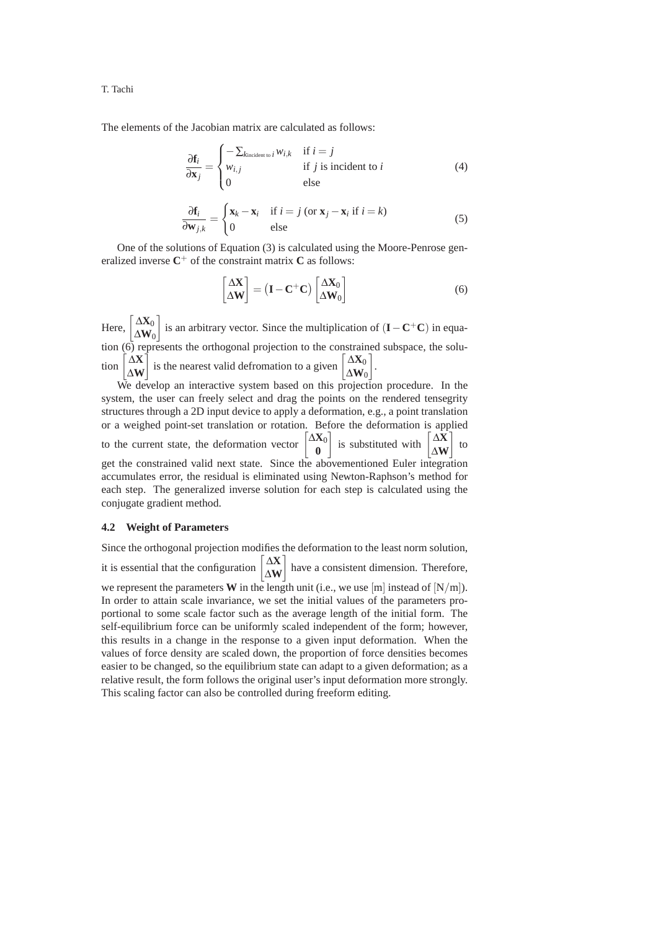T. Tachi

The elements of the Jacobian matrix are calculated as follows:

$$
\frac{\partial \mathbf{f}_i}{\partial \mathbf{x}_j} = \begin{cases}\n-\sum_{\text{kincident to }i} w_{i,k} & \text{if } i = j \\
w_{i,j} & \text{if } j \text{ is incident to } i \\
0 & \text{else}\n\end{cases}
$$
\n(4)

$$
\frac{\partial \mathbf{f}_i}{\partial \mathbf{w}_{j,k}} = \begin{cases} \mathbf{x}_k - \mathbf{x}_i & \text{if } i = j \text{ (or } \mathbf{x}_j - \mathbf{x}_i \text{ if } i = k) \\ 0 & \text{else} \end{cases}
$$
(5)

One of the solutions of Equation (3) is calculated using the Moore-Penrose generalized inverse  $C^+$  of the constraint matrix  $C$  as follows:

$$
\begin{bmatrix} \Delta \mathbf{X} \\ \Delta \mathbf{W} \end{bmatrix} = (\mathbf{I} - \mathbf{C}^+ \mathbf{C}) \begin{bmatrix} \Delta \mathbf{X}_0 \\ \Delta \mathbf{W}_0 \end{bmatrix}
$$
 (6)

Here,  $\begin{bmatrix} \Delta \mathbf{X}_0 \\ \Delta \mathbf{W} \end{bmatrix}$  $\Delta \mathbf{W}_0$  is an arbitrary vector. Since the multiplication of (**I**−**C**+**C**) in equation (6) represents the orthogonal projection to the constrained subspace, the solu- $\lim_{\Delta X}$ Δ**W** is the nearest valid defromation to a given  $\begin{bmatrix} \Delta X_0 \\ \Delta X_1 \end{bmatrix}$  $\Delta \mathbf{W}_0$ .

We develop an interactive system based on this projection procedure. In the system, the user can freely select and drag the points on the rendered tensegrity structures through a 2D input device to apply a deformation, e.g., a point translation or a weighed point-set translation or rotation. Before the deformation is applied to the current state, the deformation vector  $\begin{bmatrix} \Delta X_0 \\ 0 \end{bmatrix}$ **0** is substituted with  $\begin{bmatrix} \Delta X \\ \Delta X \end{bmatrix}$ Δ**W** 1 to get the constrained valid next state. Since the abovementioned Euler integration accumulates error, the residual is eliminated using Newton-Raphson's method for each step. The generalized inverse solution for each step is calculated using the conjugate gradient method.

#### **4.2 Weight of Parameters**

Since the orthogonal projection modifies the deformation to the least norm solution, it is essential that the configuration  $\begin{bmatrix} \Delta \mathbf{X} \\ \Delta \mathbf{X} \end{bmatrix}$ Δ**W** have a consistent dimension. Therefore, we represent the parameters **W** in the length unit (i.e., we use  $[m]$  instead of  $[N/m]$ ). In order to attain scale invariance, we set the initial values of the parameters proportional to some scale factor such as the average length of the initial form. The self-equilibrium force can be uniformly scaled independent of the form; however, this results in a change in the response to a given input deformation. When the values of force density are scaled down, the proportion of force densities becomes easier to be changed, so the equilibrium state can adapt to a given deformation; as a relative result, the form follows the original user's input deformation more strongly. This scaling factor can also be controlled during freeform editing.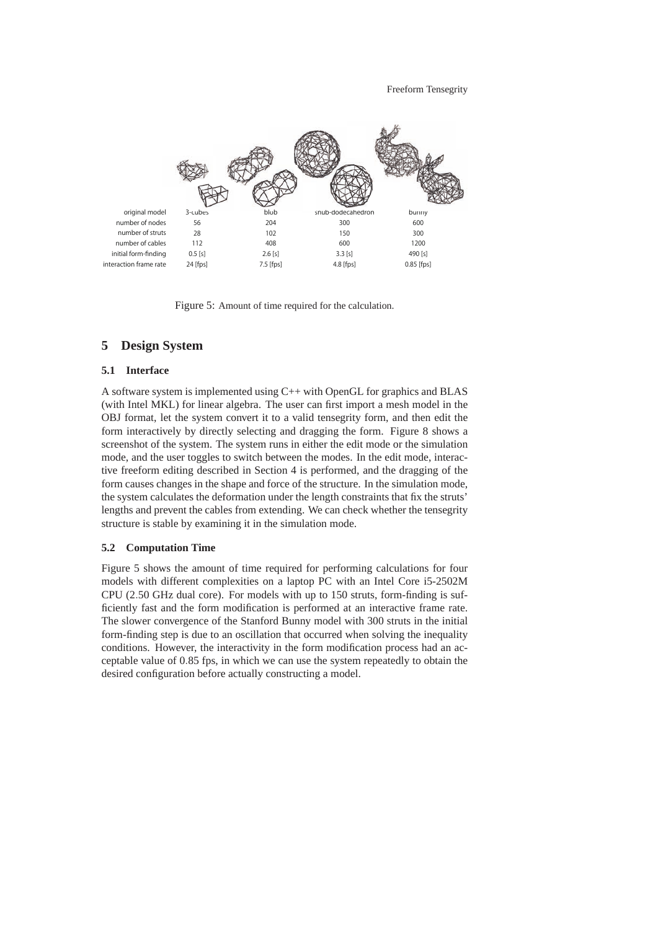

Figure 5: Amount of time required for the calculation.

## **5 Design System**

#### **5.1 Interface**

A software system is implemented using C++ with OpenGL for graphics and BLAS (with Intel MKL) for linear algebra. The user can first import a mesh model in the OBJ format, let the system convert it to a valid tensegrity form, and then edit the form interactively by directly selecting and dragging the form. Figure 8 shows a screenshot of the system. The system runs in either the edit mode or the simulation mode, and the user toggles to switch between the modes. In the edit mode, interactive freeform editing described in Section 4 is performed, and the dragging of the form causes changes in the shape and force of the structure. In the simulation mode, the system calculates the deformation under the length constraints that fix the struts' lengths and prevent the cables from extending. We can check whether the tensegrity structure is stable by examining it in the simulation mode.

#### **5.2 Computation Time**

Figure 5 shows the amount of time required for performing calculations for four models with different complexities on a laptop PC with an Intel Core i5-2502M CPU (2.50 GHz dual core). For models with up to 150 struts, form-finding is sufficiently fast and the form modification is performed at an interactive frame rate. The slower convergence of the Stanford Bunny model with 300 struts in the initial form-finding step is due to an oscillation that occurred when solving the inequality conditions. However, the interactivity in the form modification process had an acceptable value of 0.85 fps, in which we can use the system repeatedly to obtain the desired configuration before actually constructing a model.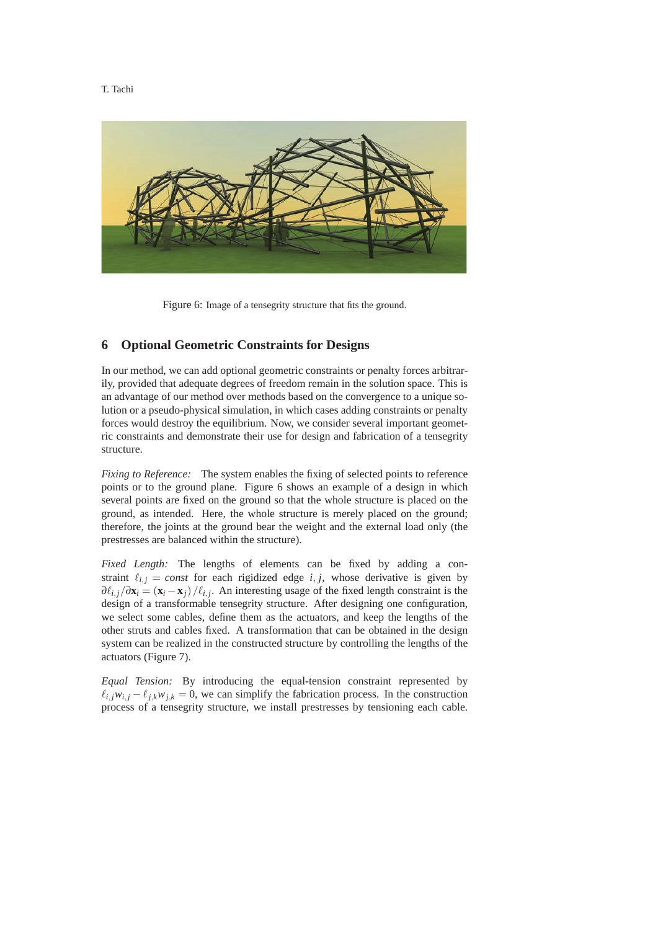T. Tachi



Figure 6: Image of a tensegrity structure that fits the ground.

## **6 Optional Geometric Constraints for Designs**

In our method, we can add optional geometric constraints or penalty forces arbitrarily, provided that adequate degrees of freedom remain in the solution space. This is an advantage of our method over methods based on the convergence to a unique solution or a pseudo-physical simulation, in which cases adding constraints or penalty forces would destroy the equilibrium. Now, we consider several important geometric constraints and demonstrate their use for design and fabrication of a tensegrity structure.

*Fixing to Reference:* The system enables the fixing of selected points to reference points or to the ground plane. Figure 6 shows an example of a design in which several points are fixed on the ground so that the whole structure is placed on the ground, as intended. Here, the whole structure is merely placed on the ground; therefore, the joints at the ground bear the weight and the external load only (the prestresses are balanced within the structure).

*Fixed Length:* The lengths of elements can be fixed by adding a constraint  $\ell_{i,j} = const$  for each rigidized edge *i*, *j*, whose derivative is given by  $\partial \ell_{i,j}/\partial \mathbf{x}_i = (\mathbf{x}_i - \mathbf{x}_j)/\ell_{i,j}$ . An interesting usage of the fixed length constraint is the design of a transformable tensegrity structure. After designing one configuration, we select some cables, define them as the actuators, and keep the lengths of the other struts and cables fixed. A transformation that can be obtained in the design system can be realized in the constructed structure by controlling the lengths of the actuators (Figure 7).

*Equal Tension:* By introducing the equal-tension constraint represented by  $\ell_{i,j} w_{i,j} - \ell_{j,k} w_{j,k} = 0$ , we can simplify the fabrication process. In the construction process of a tensegrity structure, we install prestresses by tensioning each cable.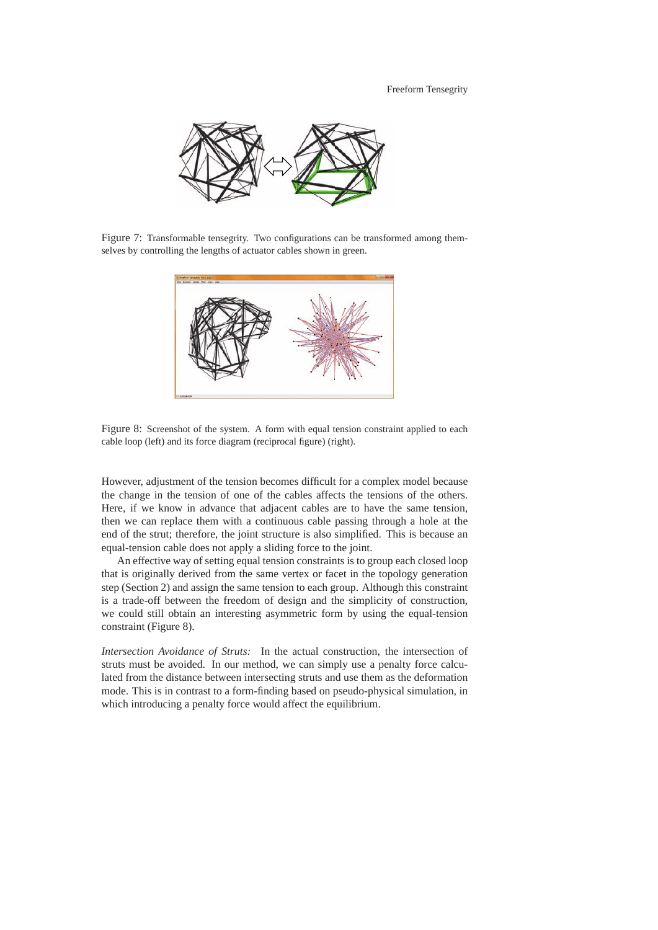

Figure 7: Transformable tensegrity. Two configurations can be transformed among themselves by controlling the lengths of actuator cables shown in green.



Figure 8: Screenshot of the system. A form with equal tension constraint applied to each cable loop (left) and its force diagram (reciprocal figure) (right).

However, adjustment of the tension becomes difficult for a complex model because the change in the tension of one of the cables affects the tensions of the others. Here, if we know in advance that adjacent cables are to have the same tension, then we can replace them with a continuous cable passing through a hole at the end of the strut; therefore, the joint structure is also simplified. This is because an equal-tension cable does not apply a sliding force to the joint.

An effective way of setting equal tension constraints is to group each closed loop that is originally derived from the same vertex or facet in the topology generation step (Section 2) and assign the same tension to each group. Although this constraint is a trade-off between the freedom of design and the simplicity of construction, we could still obtain an interesting asymmetric form by using the equal-tension constraint (Figure 8).

*Intersection Avoidance of Struts:* In the actual construction, the intersection of struts must be avoided. In our method, we can simply use a penalty force calculated from the distance between intersecting struts and use them as the deformation mode. This is in contrast to a form-finding based on pseudo-physical simulation, in which introducing a penalty force would affect the equilibrium.